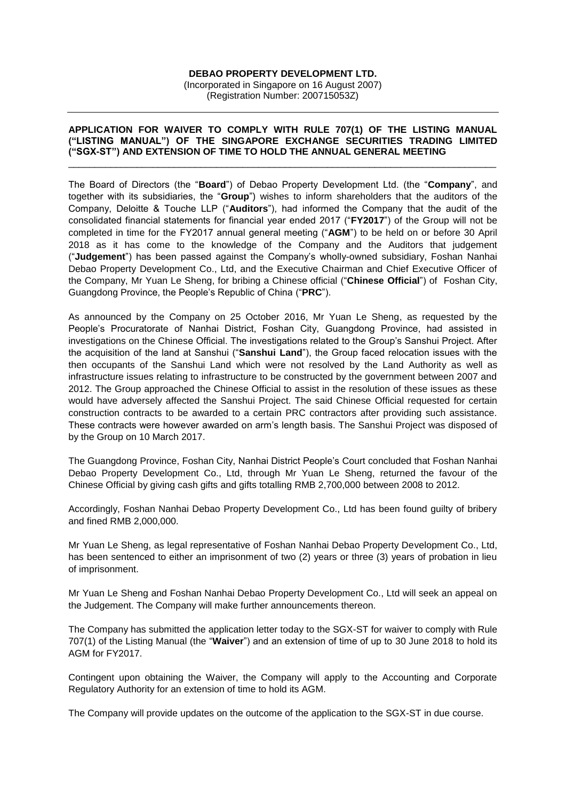## **DEBAO PROPERTY DEVELOPMENT LTD.**

(Incorporated in Singapore on 16 August 2007) (Registration Number: 200715053Z)

## **APPLICATION FOR WAIVER TO COMPLY WITH RULE 707(1) OF THE LISTING MANUAL ("LISTING MANUAL") OF THE SINGAPORE EXCHANGE SECURITIES TRADING LIMITED ("SGX-ST") AND EXTENSION OF TIME TO HOLD THE ANNUAL GENERAL MEETING**

\_\_\_\_\_\_\_\_\_\_\_\_\_\_\_\_\_\_\_\_\_\_\_\_\_\_\_\_\_\_\_\_\_\_\_\_\_\_\_\_\_\_\_\_\_\_\_\_\_\_\_\_\_\_\_\_\_\_\_\_\_\_\_\_\_\_\_\_\_\_\_\_\_\_\_\_\_\_\_\_\_

The Board of Directors (the "**Board**") of Debao Property Development Ltd. (the "**Company**", and together with its subsidiaries, the "**Group**") wishes to inform shareholders that the auditors of the Company, Deloitte & Touche LLP ("**Auditors**"), had informed the Company that the audit of the consolidated financial statements for financial year ended 2017 ("**FY2017**") of the Group will not be completed in time for the FY2017 annual general meeting ("**AGM**") to be held on or before 30 April 2018 as it has come to the knowledge of the Company and the Auditors that judgement ("**Judgement**") has been passed against the Company's wholly-owned subsidiary, Foshan Nanhai Debao Property Development Co., Ltd, and the Executive Chairman and Chief Executive Officer of the Company, Mr Yuan Le Sheng, for bribing a Chinese official ("**Chinese Official**") of Foshan City, Guangdong Province, the People's Republic of China ("**PRC**").

As announced by the Company on 25 October 2016, Mr Yuan Le Sheng, as requested by the People's Procuratorate of Nanhai District, Foshan City, Guangdong Province, had assisted in investigations on the Chinese Official. The investigations related to the Group's Sanshui Project. After the acquisition of the land at Sanshui ("**Sanshui Land**"), the Group faced relocation issues with the then occupants of the Sanshui Land which were not resolved by the Land Authority as well as infrastructure issues relating to infrastructure to be constructed by the government between 2007 and 2012. The Group approached the Chinese Official to assist in the resolution of these issues as these would have adversely affected the Sanshui Project. The said Chinese Official requested for certain construction contracts to be awarded to a certain PRC contractors after providing such assistance. These contracts were however awarded on arm's length basis. The Sanshui Project was disposed of by the Group on 10 March 2017.

The Guangdong Province, Foshan City, Nanhai District People's Court concluded that Foshan Nanhai Debao Property Development Co., Ltd, through Mr Yuan Le Sheng, returned the favour of the Chinese Official by giving cash gifts and gifts totalling RMB 2,700,000 between 2008 to 2012.

Accordingly, Foshan Nanhai Debao Property Development Co., Ltd has been found guilty of bribery and fined RMB 2,000,000.

Mr Yuan Le Sheng, as legal representative of Foshan Nanhai Debao Property Development Co., Ltd, has been sentenced to either an imprisonment of two (2) years or three (3) years of probation in lieu of imprisonment.

Mr Yuan Le Sheng and Foshan Nanhai Debao Property Development Co., Ltd will seek an appeal on the Judgement. The Company will make further announcements thereon.

The Company has submitted the application letter today to the SGX-ST for waiver to comply with Rule 707(1) of the Listing Manual (the "**Waiver**") and an extension of time of up to 30 June 2018 to hold its AGM for FY2017.

Contingent upon obtaining the Waiver, the Company will apply to the Accounting and Corporate Regulatory Authority for an extension of time to hold its AGM.

The Company will provide updates on the outcome of the application to the SGX-ST in due course.